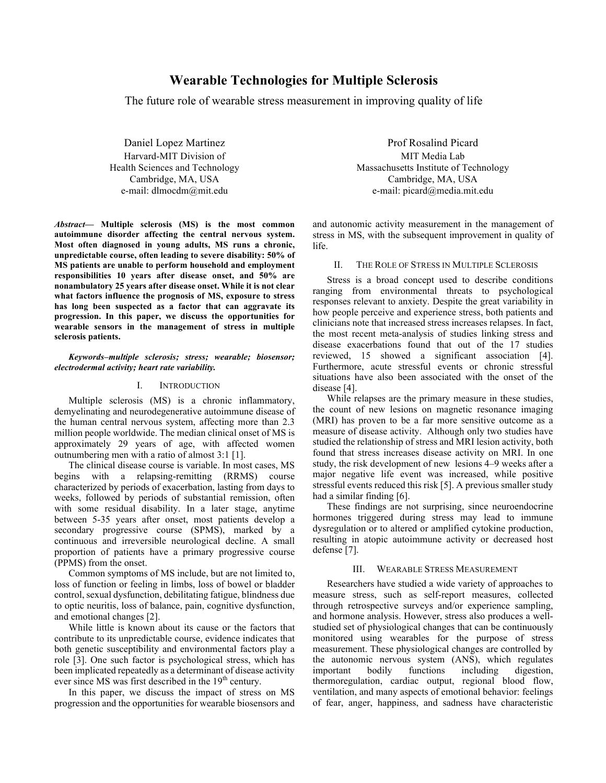# **Wearable Technologies for Multiple Sclerosis**

The future role of wearable stress measurement in improving quality of life

Daniel Lopez Martinez Harvard-MIT Division of Health Sciences and Technology Cambridge, MA, USA e-mail: dlmocdm@mit.edu

*Abstract***— Multiple sclerosis (MS) is the most common autoimmune disorder affecting the central nervous system. Most often diagnosed in young adults, MS runs a chronic, unpredictable course, often leading to severe disability: 50% of MS patients are unable to perform household and employment responsibilities 10 years after disease onset, and 50% are nonambulatory 25 years after disease onset. While it is not clear what factors influence the prognosis of MS, exposure to stress has long been suspected as a factor that can aggravate its progression. In this paper, we discuss the opportunities for wearable sensors in the management of stress in multiple sclerosis patients.** 

*Keywords–multiple sclerosis; stress; wearable; biosensor; electrodermal activity; heart rate variability.*

## I. INTRODUCTION

Multiple sclerosis (MS) is a chronic inflammatory, demyelinating and neurodegenerative autoimmune disease of the human central nervous system, affecting more than 2.3 million people worldwide. The median clinical onset of MS is approximately 29 years of age, with affected women outnumbering men with a ratio of almost 3:1 [1].

The clinical disease course is variable. In most cases, MS begins with a relapsing-remitting (RRMS) course characterized by periods of exacerbation, lasting from days to weeks, followed by periods of substantial remission, often with some residual disability. In a later stage, anytime between 5-35 years after onset, most patients develop a secondary progressive course (SPMS), marked by a continuous and irreversible neurological decline. A small proportion of patients have a primary progressive course (PPMS) from the onset.

Common symptoms of MS include, but are not limited to, loss of function or feeling in limbs, loss of bowel or bladder control, sexual dysfunction, debilitating fatigue, blindness due to optic neuritis, loss of balance, pain, cognitive dysfunction, and emotional changes [2].

While little is known about its cause or the factors that contribute to its unpredictable course, evidence indicates that both genetic susceptibility and environmental factors play a role [3]. One such factor is psychological stress, which has been implicated repeatedly as a determinant of disease activity ever since MS was first described in the  $19<sup>th</sup>$  century.

In this paper, we discuss the impact of stress on MS progression and the opportunities for wearable biosensors and

Prof Rosalind Picard MIT Media Lab Massachusetts Institute of Technology Cambridge, MA, USA e-mail: picard@media.mit.edu

and autonomic activity measurement in the management of stress in MS, with the subsequent improvement in quality of life.

## II. THE ROLE OF STRESS IN MULTIPLE SCLEROSIS

Stress is a broad concept used to describe conditions ranging from environmental threats to psychological responses relevant to anxiety. Despite the great variability in how people perceive and experience stress, both patients and clinicians note that increased stress increases relapses. In fact, the most recent meta-analysis of studies linking stress and disease exacerbations found that out of the 17 studies reviewed, 15 showed a significant association [4]. Furthermore, acute stressful events or chronic stressful situations have also been associated with the onset of the disease [4].

While relapses are the primary measure in these studies, the count of new lesions on magnetic resonance imaging (MRI) has proven to be a far more sensitive outcome as a measure of disease activity. Although only two studies have studied the relationship of stress and MRI lesion activity, both found that stress increases disease activity on MRI. In one study, the risk development of new lesions 4–9 weeks after a major negative life event was increased, while positive stressful events reduced this risk [5]. A previous smaller study had a similar finding [6].

These findings are not surprising, since neuroendocrine hormones triggered during stress may lead to immune dysregulation or to altered or amplified cytokine production, resulting in atopic autoimmune activity or decreased host defense [7].

### III. WEARABLE STRESS MEASUREMENT

Researchers have studied a wide variety of approaches to measure stress, such as self-report measures, collected through retrospective surveys and/or experience sampling, and hormone analysis. However, stress also produces a wellstudied set of physiological changes that can be continuously monitored using wearables for the purpose of stress measurement. These physiological changes are controlled by the autonomic nervous system (ANS), which regulates important bodily functions including digestion, thermoregulation, cardiac output, regional blood flow, ventilation, and many aspects of emotional behavior: feelings of fear, anger, happiness, and sadness have characteristic